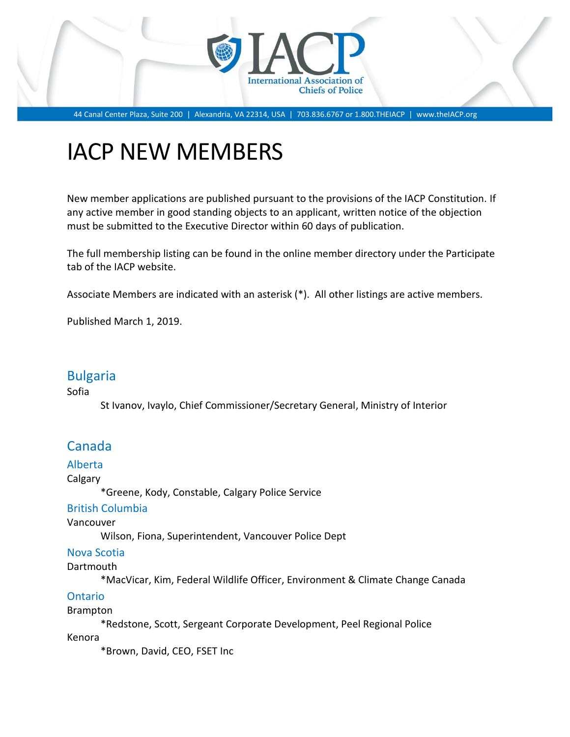

44 Canal Center Plaza, Suite 200 | Alexandria, VA 22314, USA | 703.836.6767 or 1.800.THEIACP | www.theIACP.org

# IACP NEW MEMBERS

New member applications are published pursuant to the provisions of the IACP Constitution. If any active member in good standing objects to an applicant, written notice of the objection must be submitted to the Executive Director within 60 days of publication.

The full membership listing can be found in the online member directory under the Participate tab of the IACP website.

Associate Members are indicated with an asterisk (\*). All other listings are active members.

Published March 1, 2019.

### Bulgaria

Sofia

St Ivanov, Ivaylo, Chief Commissioner/Secretary General, Ministry of Interior

### Canada

### Alberta

Calgary

\*Greene, Kody, Constable, Calgary Police Service

#### British Columbia

Vancouver

Wilson, Fiona, Superintendent, Vancouver Police Dept

### Nova Scotia

#### **Dartmouth**

\*MacVicar, Kim, Federal Wildlife Officer, Environment & Climate Change Canada

### Ontario

Brampton

\*Redstone, Scott, Sergeant Corporate Development, Peel Regional Police

Kenora

\*Brown, David, CEO, FSET Inc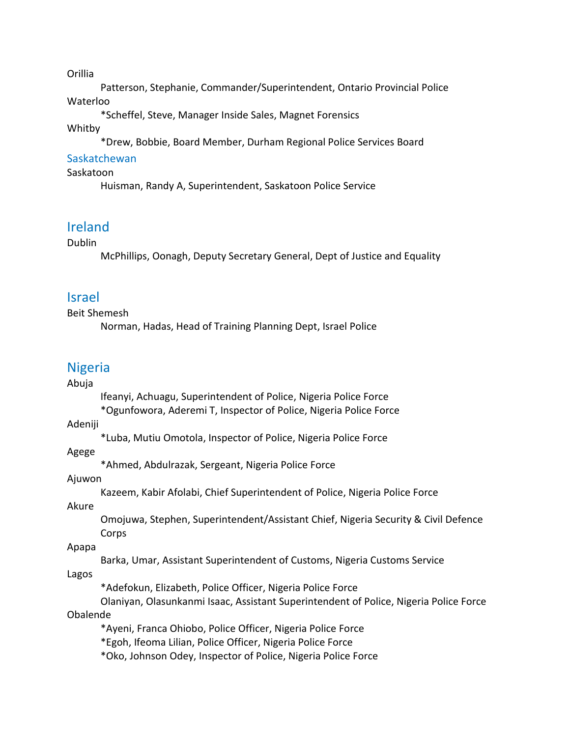#### Orillia

Patterson, Stephanie, Commander/Superintendent, Ontario Provincial Police Waterloo

\*Scheffel, Steve, Manager Inside Sales, Magnet Forensics

### Whitby

\*Drew, Bobbie, Board Member, Durham Regional Police Services Board

#### **Saskatchewan**

#### Saskatoon

Huisman, Randy A, Superintendent, Saskatoon Police Service

### Ireland

#### Dublin

McPhillips, Oonagh, Deputy Secretary General, Dept of Justice and Equality

### Israel

#### Beit Shemesh

Norman, Hadas, Head of Training Planning Dept, Israel Police

### Nigeria

#### Abuja

Ifeanyi, Achuagu, Superintendent of Police, Nigeria Police Force \*Ogunfowora, Aderemi T, Inspector of Police, Nigeria Police Force

Adeniji

\*Luba, Mutiu Omotola, Inspector of Police, Nigeria Police Force

#### Agege

\*Ahmed, Abdulrazak, Sergeant, Nigeria Police Force

#### Ajuwon

Kazeem, Kabir Afolabi, Chief Superintendent of Police, Nigeria Police Force

#### Akure

Omojuwa, Stephen, Superintendent/Assistant Chief, Nigeria Security & Civil Defence Corps

#### Apapa

Barka, Umar, Assistant Superintendent of Customs, Nigeria Customs Service

#### Lagos

\*Adefokun, Elizabeth, Police Officer, Nigeria Police Force

Olaniyan, Olasunkanmi Isaac, Assistant Superintendent of Police, Nigeria Police Force Obalende

\*Ayeni, Franca Ohiobo, Police Officer, Nigeria Police Force

\*Egoh, Ifeoma Lilian, Police Officer, Nigeria Police Force

\*Oko, Johnson Odey, Inspector of Police, Nigeria Police Force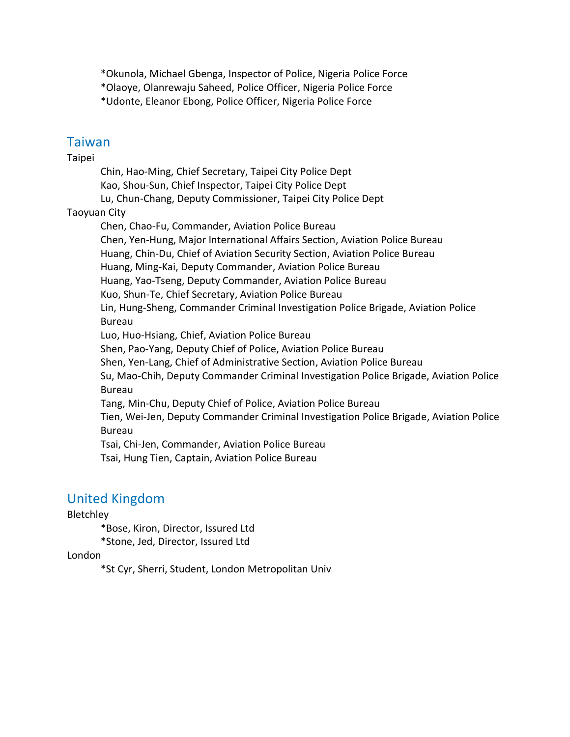\*Okunola, Michael Gbenga, Inspector of Police, Nigeria Police Force

\*Olaoye, Olanrewaju Saheed, Police Officer, Nigeria Police Force

\*Udonte, Eleanor Ebong, Police Officer, Nigeria Police Force

### Taiwan

#### Taipei

Chin, Hao-Ming, Chief Secretary, Taipei City Police Dept Kao, Shou-Sun, Chief Inspector, Taipei City Police Dept Lu, Chun-Chang, Deputy Commissioner, Taipei City Police Dept Taoyuan City Chen, Chao-Fu, Commander, Aviation Police Bureau

> Chen, Yen-Hung, Major International Affairs Section, Aviation Police Bureau Huang, Chin-Du, Chief of Aviation Security Section, Aviation Police Bureau Huang, Ming-Kai, Deputy Commander, Aviation Police Bureau Huang, Yao-Tseng, Deputy Commander, Aviation Police Bureau Kuo, Shun-Te, Chief Secretary, Aviation Police Bureau Lin, Hung-Sheng, Commander Criminal Investigation Police Brigade, Aviation Police Bureau Luo, Huo-Hsiang, Chief, Aviation Police Bureau Shen, Pao-Yang, Deputy Chief of Police, Aviation Police Bureau Shen, Yen-Lang, Chief of Administrative Section, Aviation Police Bureau Su, Mao-Chih, Deputy Commander Criminal Investigation Police Brigade, Aviation Police Bureau Tang, Min-Chu, Deputy Chief of Police, Aviation Police Bureau Tien, Wei-Jen, Deputy Commander Criminal Investigation Police Brigade, Aviation Police Bureau Tsai, Chi-Jen, Commander, Aviation Police Bureau Tsai, Hung Tien, Captain, Aviation Police Bureau

### United Kingdom

### **Bletchley**

\*Bose, Kiron, Director, Issured Ltd \*Stone, Jed, Director, Issured Ltd

### London

\*St Cyr, Sherri, Student, London Metropolitan Univ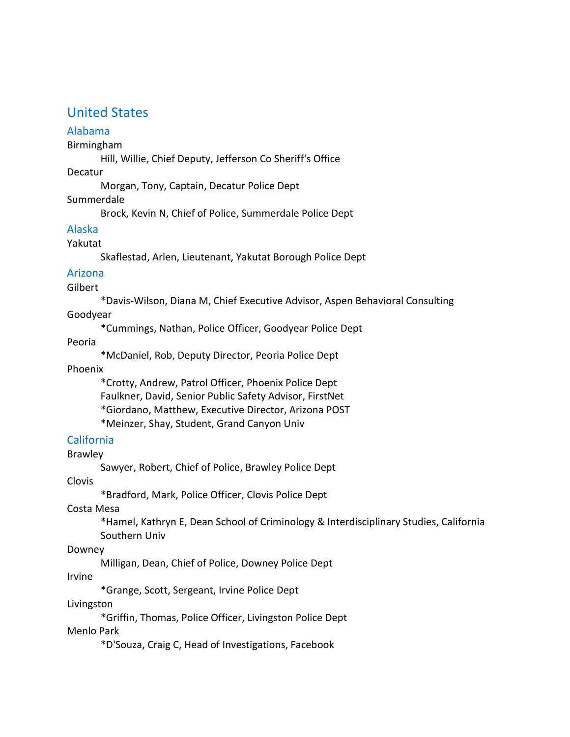### United States

#### Alabama

Birmingham

Hill, Willie, Chief Deputy, Jefferson Co Sheriff's Office

Decatur

Morgan, Tony, Captain, Decatur Police Dept

#### Summerdale

Brock, Kevin N, Chief of Police, Summerdale Police Dept

### Alaska

### Yakutat

Skaflestad, Arlen, Lieutenant, Yakutat Borough Police Dept

#### Arizona

### **Gilbert**

\*Davis-Wilson, Diana M, Chief Executive Advisor, Aspen Behavioral Consulting

#### Goodyear

\*Cummings, Nathan, Police Officer, Goodyear Police Dept

#### Peoria

\*McDaniel, Rob, Deputy Director, Peoria Police Dept

### Phoenix

\*Crotty, Andrew, Patrol Officer, Phoenix Police Dept Faulkner, David, Senior Public Safety Advisor, FirstNet \*Giordano, Matthew, Executive Director, Arizona POST \*Meinzer, Shay, Student, Grand Canyon Univ

### California

Brawley

Sawyer, Robert, Chief of Police, Brawley Police Dept

Clovis

\*Bradford, Mark, Police Officer, Clovis Police Dept

Costa Mesa

\*Hamel, Kathryn E, Dean School of Criminology & Interdisciplinary Studies, California Southern Univ

Downey

Milligan, Dean, Chief of Police, Downey Police Dept

Irvine

\*Grange, Scott, Sergeant, Irvine Police Dept

Livingston

\*Griffin, Thomas, Police Officer, Livingston Police Dept Menlo Park

\*D'Souza, Craig C, Head of Investigations, Facebook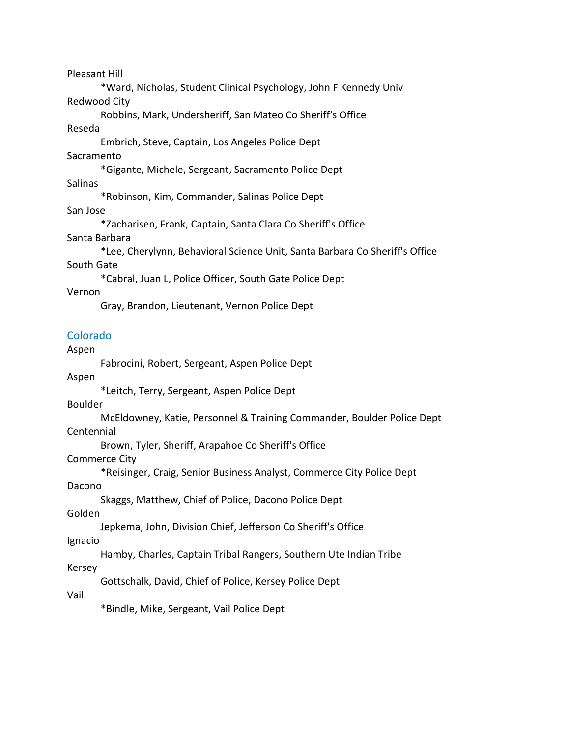Pleasant Hill \*Ward, Nicholas, Student Clinical Psychology, John F Kennedy Univ Redwood City Robbins, Mark, Undersheriff, San Mateo Co Sheriff's Office Reseda Embrich, Steve, Captain, Los Angeles Police Dept Sacramento \*Gigante, Michele, Sergeant, Sacramento Police Dept Salinas \*Robinson, Kim, Commander, Salinas Police Dept San Jose \*Zacharisen, Frank, Captain, Santa Clara Co Sheriff's Office Santa Barbara \*Lee, Cherylynn, Behavioral Science Unit, Santa Barbara Co Sheriff's Office South Gate \*Cabral, Juan L, Police Officer, South Gate Police Dept Vernon Gray, Brandon, Lieutenant, Vernon Police Dept Colorado Aspen Fabrocini, Robert, Sergeant, Aspen Police Dept Aspen \*Leitch, Terry, Sergeant, Aspen Police Dept Boulder McEldowney, Katie, Personnel & Training Commander, Boulder Police Dept Centennial Brown, Tyler, Sheriff, Arapahoe Co Sheriff's Office Commerce City \*Reisinger, Craig, Senior Business Analyst, Commerce City Police Dept Dacono Skaggs, Matthew, Chief of Police, Dacono Police Dept Golden Jepkema, John, Division Chief, Jefferson Co Sheriff's Office Ignacio Hamby, Charles, Captain Tribal Rangers, Southern Ute Indian Tribe Kersey Gottschalk, David, Chief of Police, Kersey Police Dept Vail \*Bindle, Mike, Sergeant, Vail Police Dept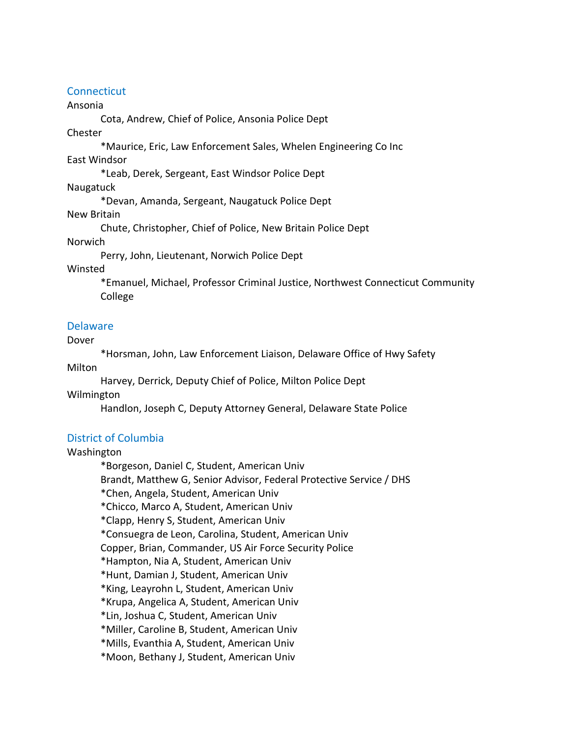#### **Connecticut**

#### Ansonia

Cota, Andrew, Chief of Police, Ansonia Police Dept

Chester

\*Maurice, Eric, Law Enforcement Sales, Whelen Engineering Co Inc

East Windsor

\*Leab, Derek, Sergeant, East Windsor Police Dept

Naugatuck

\*Devan, Amanda, Sergeant, Naugatuck Police Dept

#### New Britain

Chute, Christopher, Chief of Police, New Britain Police Dept

Norwich

Perry, John, Lieutenant, Norwich Police Dept

#### Winsted

\*Emanuel, Michael, Professor Criminal Justice, Northwest Connecticut Community College

#### **Delaware**

#### Dover

\*Horsman, John, Law Enforcement Liaison, Delaware Office of Hwy Safety

#### Milton

Harvey, Derrick, Deputy Chief of Police, Milton Police Dept

#### Wilmington

Handlon, Joseph C, Deputy Attorney General, Delaware State Police

### District of Columbia

#### Washington

\*Borgeson, Daniel C, Student, American Univ Brandt, Matthew G, Senior Advisor, Federal Protective Service / DHS \*Chen, Angela, Student, American Univ \*Chicco, Marco A, Student, American Univ \*Clapp, Henry S, Student, American Univ \*Consuegra de Leon, Carolina, Student, American Univ Copper, Brian, Commander, US Air Force Security Police \*Hampton, Nia A, Student, American Univ \*Hunt, Damian J, Student, American Univ \*King, Leayrohn L, Student, American Univ \*Krupa, Angelica A, Student, American Univ \*Lin, Joshua C, Student, American Univ \*Miller, Caroline B, Student, American Univ \*Mills, Evanthia A, Student, American Univ \*Moon, Bethany J, Student, American Univ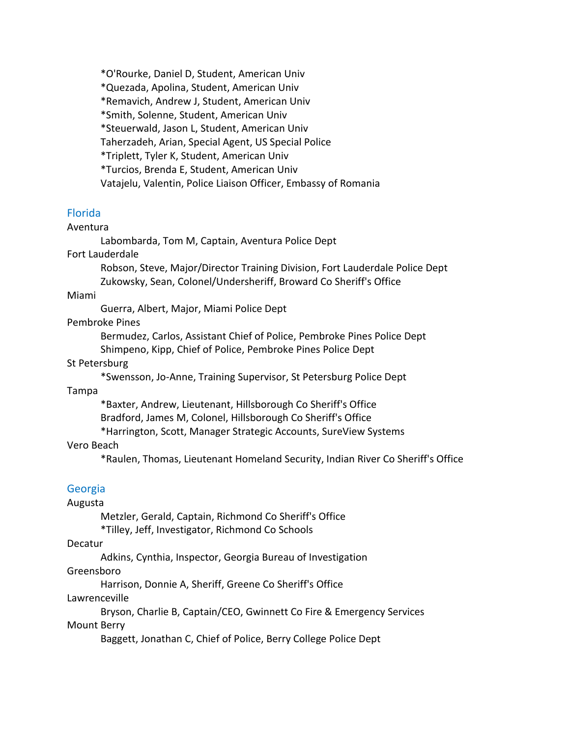\*O'Rourke, Daniel D, Student, American Univ \*Quezada, Apolina, Student, American Univ \*Remavich, Andrew J, Student, American Univ \*Smith, Solenne, Student, American Univ \*Steuerwald, Jason L, Student, American Univ Taherzadeh, Arian, Special Agent, US Special Police \*Triplett, Tyler K, Student, American Univ \*Turcios, Brenda E, Student, American Univ Vatajelu, Valentin, Police Liaison Officer, Embassy of Romania

#### Florida

#### Aventura

Labombarda, Tom M, Captain, Aventura Police Dept

#### Fort Lauderdale

Robson, Steve, Major/Director Training Division, Fort Lauderdale Police Dept Zukowsky, Sean, Colonel/Undersheriff, Broward Co Sheriff's Office

#### Miami

Guerra, Albert, Major, Miami Police Dept

#### Pembroke Pines

Bermudez, Carlos, Assistant Chief of Police, Pembroke Pines Police Dept Shimpeno, Kipp, Chief of Police, Pembroke Pines Police Dept

#### St Petersburg

\*Swensson, Jo-Anne, Training Supervisor, St Petersburg Police Dept

#### Tampa

\*Baxter, Andrew, Lieutenant, Hillsborough Co Sheriff's Office

Bradford, James M, Colonel, Hillsborough Co Sheriff's Office

\*Harrington, Scott, Manager Strategic Accounts, SureView Systems

#### Vero Beach

\*Raulen, Thomas, Lieutenant Homeland Security, Indian River Co Sheriff's Office

#### Georgia

#### Augusta

Metzler, Gerald, Captain, Richmond Co Sheriff's Office \*Tilley, Jeff, Investigator, Richmond Co Schools

#### Decatur

Adkins, Cynthia, Inspector, Georgia Bureau of Investigation

#### Greensboro

Harrison, Donnie A, Sheriff, Greene Co Sheriff's Office

#### Lawrenceville

Bryson, Charlie B, Captain/CEO, Gwinnett Co Fire & Emergency Services

#### Mount Berry

Baggett, Jonathan C, Chief of Police, Berry College Police Dept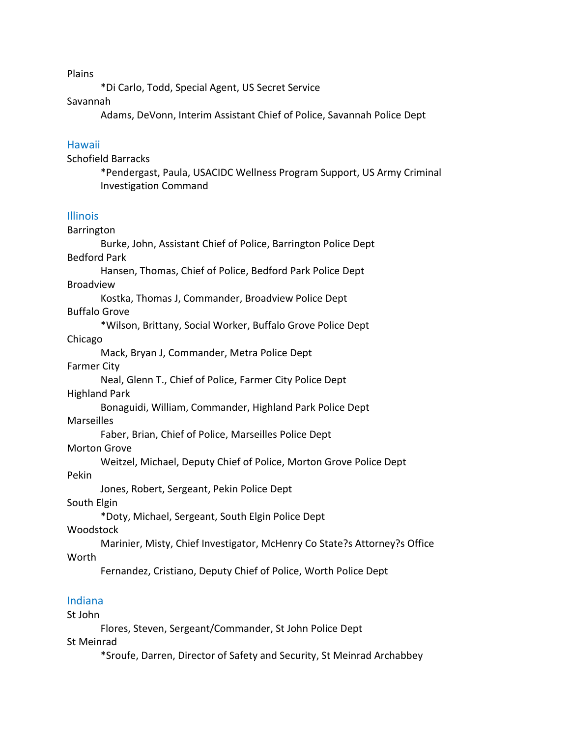Plains

\*Di Carlo, Todd, Special Agent, US Secret Service

Savannah

Adams, DeVonn, Interim Assistant Chief of Police, Savannah Police Dept

#### Hawaii

Schofield Barracks \*Pendergast, Paula, USACIDC Wellness Program Support, US Army Criminal Investigation Command

#### Illinois

Barrington Burke, John, Assistant Chief of Police, Barrington Police Dept Bedford Park Hansen, Thomas, Chief of Police, Bedford Park Police Dept Broadview Kostka, Thomas J, Commander, Broadview Police Dept Buffalo Grove \*Wilson, Brittany, Social Worker, Buffalo Grove Police Dept Chicago Mack, Bryan J, Commander, Metra Police Dept Farmer City Neal, Glenn T., Chief of Police, Farmer City Police Dept Highland Park Bonaguidi, William, Commander, Highland Park Police Dept **Marseilles** Faber, Brian, Chief of Police, Marseilles Police Dept Morton Grove Weitzel, Michael, Deputy Chief of Police, Morton Grove Police Dept Pekin Jones, Robert, Sergeant, Pekin Police Dept South Elgin \*Doty, Michael, Sergeant, South Elgin Police Dept Woodstock Marinier, Misty, Chief Investigator, McHenry Co State?s Attorney?s Office Worth Fernandez, Cristiano, Deputy Chief of Police, Worth Police Dept Indiana St John

Flores, Steven, Sergeant/Commander, St John Police Dept

St Meinrad

\*Sroufe, Darren, Director of Safety and Security, St Meinrad Archabbey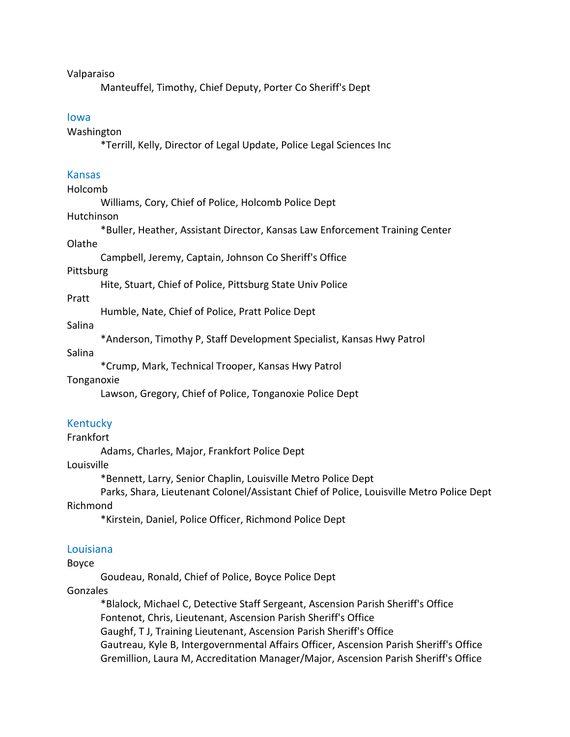Valparaiso

Manteuffel, Timothy, Chief Deputy, Porter Co Sheriff's Dept

#### Iowa

Washington

\*Terrill, Kelly, Director of Legal Update, Police Legal Sciences Inc

#### Kansas

Holcomb

Williams, Cory, Chief of Police, Holcomb Police Dept

Hutchinson

\*Buller, Heather, Assistant Director, Kansas Law Enforcement Training Center

#### Olathe

Campbell, Jeremy, Captain, Johnson Co Sheriff's Office

#### Pittsburg

Hite, Stuart, Chief of Police, Pittsburg State Univ Police

Pratt

Humble, Nate, Chief of Police, Pratt Police Dept

Salina

\*Anderson, Timothy P, Staff Development Specialist, Kansas Hwy Patrol

Salina

\*Crump, Mark, Technical Trooper, Kansas Hwy Patrol

#### Tonganoxie

Lawson, Gregory, Chief of Police, Tonganoxie Police Dept

#### Kentucky

Frankfort

Adams, Charles, Major, Frankfort Police Dept

#### Louisville

\*Bennett, Larry, Senior Chaplin, Louisville Metro Police Dept

Parks, Shara, Lieutenant Colonel/Assistant Chief of Police, Louisville Metro Police Dept Richmond

\*Kirstein, Daniel, Police Officer, Richmond Police Dept

#### Louisiana

Boyce

Goudeau, Ronald, Chief of Police, Boyce Police Dept

#### Gonzales

\*Blalock, Michael C, Detective Staff Sergeant, Ascension Parish Sheriff's Office Fontenot, Chris, Lieutenant, Ascension Parish Sheriff's Office Gaughf, T J, Training Lieutenant, Ascension Parish Sheriff's Office Gautreau, Kyle B, Intergovernmental Affairs Officer, Ascension Parish Sheriff's Office Gremillion, Laura M, Accreditation Manager/Major, Ascension Parish Sheriff's Office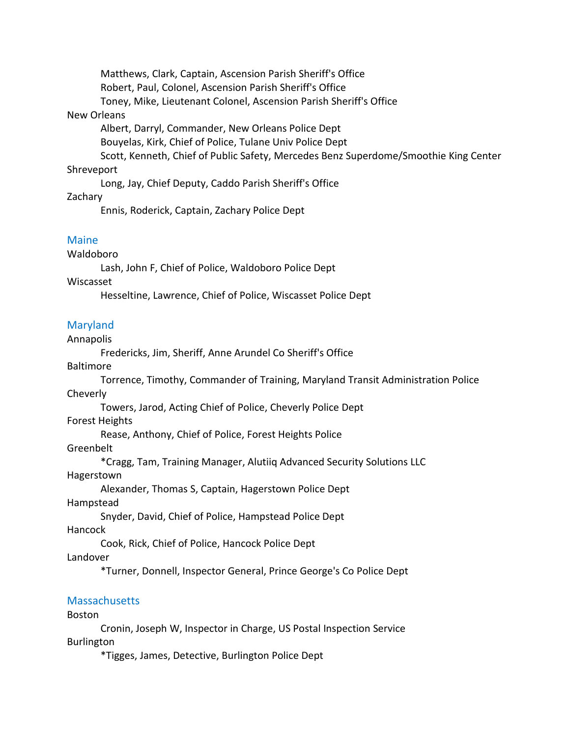Matthews, Clark, Captain, Ascension Parish Sheriff's Office Robert, Paul, Colonel, Ascension Parish Sheriff's Office Toney, Mike, Lieutenant Colonel, Ascension Parish Sheriff's Office New Orleans Albert, Darryl, Commander, New Orleans Police Dept Bouyelas, Kirk, Chief of Police, Tulane Univ Police Dept Scott, Kenneth, Chief of Public Safety, Mercedes Benz Superdome/Smoothie King Center Shreveport Long, Jay, Chief Deputy, Caddo Parish Sheriff's Office **Zachary** Ennis, Roderick, Captain, Zachary Police Dept Maine Waldoboro Lash, John F, Chief of Police, Waldoboro Police Dept Wiscasset

Hesseltine, Lawrence, Chief of Police, Wiscasset Police Dept

### Maryland

Annapolis

Fredericks, Jim, Sheriff, Anne Arundel Co Sheriff's Office

Baltimore

Torrence, Timothy, Commander of Training, Maryland Transit Administration Police Cheverly

Towers, Jarod, Acting Chief of Police, Cheverly Police Dept

Forest Heights

Rease, Anthony, Chief of Police, Forest Heights Police

Greenbelt

\*Cragg, Tam, Training Manager, Alutiiq Advanced Security Solutions LLC

Hagerstown

Alexander, Thomas S, Captain, Hagerstown Police Dept

Hampstead

Snyder, David, Chief of Police, Hampstead Police Dept

Hancock

Cook, Rick, Chief of Police, Hancock Police Dept

Landover

\*Turner, Donnell, Inspector General, Prince George's Co Police Dept

### **Massachusetts**

Boston

Cronin, Joseph W, Inspector in Charge, US Postal Inspection Service Burlington

\*Tigges, James, Detective, Burlington Police Dept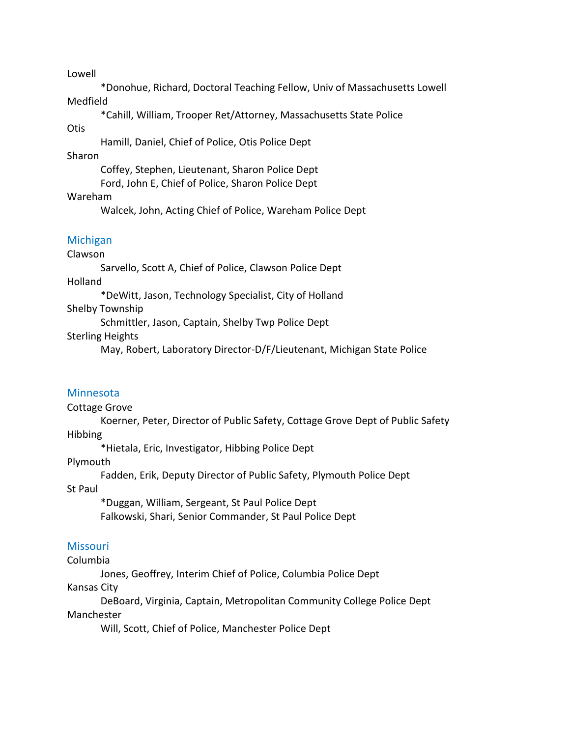Lowell

\*Donohue, Richard, Doctoral Teaching Fellow, Univ of Massachusetts Lowell Medfield

\*Cahill, William, Trooper Ret/Attorney, Massachusetts State Police

### Otis

Hamill, Daniel, Chief of Police, Otis Police Dept

#### Sharon

Coffey, Stephen, Lieutenant, Sharon Police Dept

Ford, John E, Chief of Police, Sharon Police Dept

#### Wareham

Walcek, John, Acting Chief of Police, Wareham Police Dept

#### Michigan

Clawson

Sarvello, Scott A, Chief of Police, Clawson Police Dept

Holland

\*DeWitt, Jason, Technology Specialist, City of Holland

Shelby Township

Schmittler, Jason, Captain, Shelby Twp Police Dept

#### Sterling Heights

May, Robert, Laboratory Director-D/F/Lieutenant, Michigan State Police

#### **Minnesota**

Cottage Grove

Koerner, Peter, Director of Public Safety, Cottage Grove Dept of Public Safety Hibbing

\*Hietala, Eric, Investigator, Hibbing Police Dept

#### Plymouth

Fadden, Erik, Deputy Director of Public Safety, Plymouth Police Dept

#### St Paul

\*Duggan, William, Sergeant, St Paul Police Dept Falkowski, Shari, Senior Commander, St Paul Police Dept

#### **Missouri**

Columbia

Jones, Geoffrey, Interim Chief of Police, Columbia Police Dept

#### Kansas City

DeBoard, Virginia, Captain, Metropolitan Community College Police Dept Manchester

Will, Scott, Chief of Police, Manchester Police Dept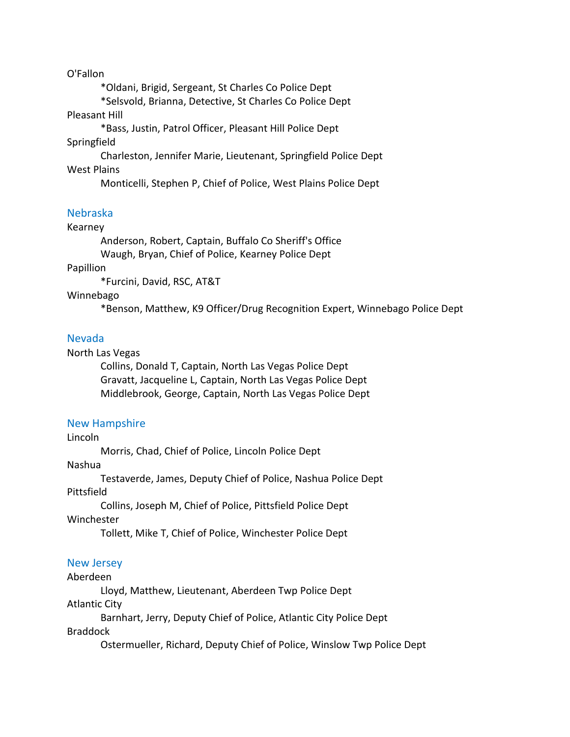O'Fallon

\*Oldani, Brigid, Sergeant, St Charles Co Police Dept \*Selsvold, Brianna, Detective, St Charles Co Police Dept Pleasant Hill \*Bass, Justin, Patrol Officer, Pleasant Hill Police Dept Springfield

Charleston, Jennifer Marie, Lieutenant, Springfield Police Dept West Plains

Monticelli, Stephen P, Chief of Police, West Plains Police Dept

#### Nebraska

#### Kearney

Anderson, Robert, Captain, Buffalo Co Sheriff's Office Waugh, Bryan, Chief of Police, Kearney Police Dept

#### Papillion

\*Furcini, David, RSC, AT&T

#### Winnebago

\*Benson, Matthew, K9 Officer/Drug Recognition Expert, Winnebago Police Dept

### Nevada

#### North Las Vegas

Collins, Donald T, Captain, North Las Vegas Police Dept Gravatt, Jacqueline L, Captain, North Las Vegas Police Dept Middlebrook, George, Captain, North Las Vegas Police Dept

#### New Hampshire

Lincoln

Morris, Chad, Chief of Police, Lincoln Police Dept

#### Nashua

Testaverde, James, Deputy Chief of Police, Nashua Police Dept Pittsfield

Collins, Joseph M, Chief of Police, Pittsfield Police Dept

Winchester

Tollett, Mike T, Chief of Police, Winchester Police Dept

### New Jersey

Aberdeen

Lloyd, Matthew, Lieutenant, Aberdeen Twp Police Dept

#### Atlantic City

Barnhart, Jerry, Deputy Chief of Police, Atlantic City Police Dept

#### Braddock

Ostermueller, Richard, Deputy Chief of Police, Winslow Twp Police Dept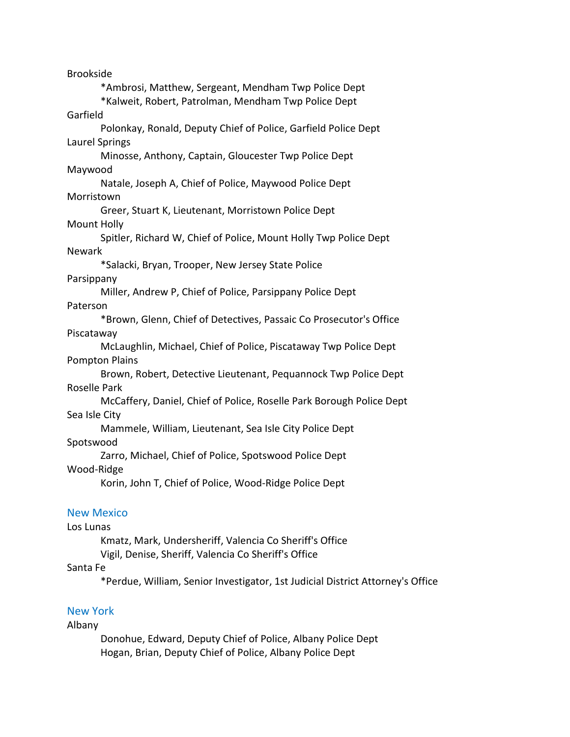Brookside \*Ambrosi, Matthew, Sergeant, Mendham Twp Police Dept \*Kalweit, Robert, Patrolman, Mendham Twp Police Dept Garfield Polonkay, Ronald, Deputy Chief of Police, Garfield Police Dept Laurel Springs Minosse, Anthony, Captain, Gloucester Twp Police Dept Maywood Natale, Joseph A, Chief of Police, Maywood Police Dept Morristown Greer, Stuart K, Lieutenant, Morristown Police Dept Mount Holly Spitler, Richard W, Chief of Police, Mount Holly Twp Police Dept Newark \*Salacki, Bryan, Trooper, New Jersey State Police Parsippany Miller, Andrew P, Chief of Police, Parsippany Police Dept Paterson \*Brown, Glenn, Chief of Detectives, Passaic Co Prosecutor's Office Piscataway McLaughlin, Michael, Chief of Police, Piscataway Twp Police Dept Pompton Plains Brown, Robert, Detective Lieutenant, Pequannock Twp Police Dept Roselle Park McCaffery, Daniel, Chief of Police, Roselle Park Borough Police Dept Sea Isle City Mammele, William, Lieutenant, Sea Isle City Police Dept Spotswood Zarro, Michael, Chief of Police, Spotswood Police Dept Wood-Ridge Korin, John T, Chief of Police, Wood-Ridge Police Dept New Mexico Los Lunas Kmatz, Mark, Undersheriff, Valencia Co Sheriff's Office

Vigil, Denise, Sheriff, Valencia Co Sheriff's Office

#### Santa Fe

\*Perdue, William, Senior Investigator, 1st Judicial District Attorney's Office

### New York

#### Albany

Donohue, Edward, Deputy Chief of Police, Albany Police Dept Hogan, Brian, Deputy Chief of Police, Albany Police Dept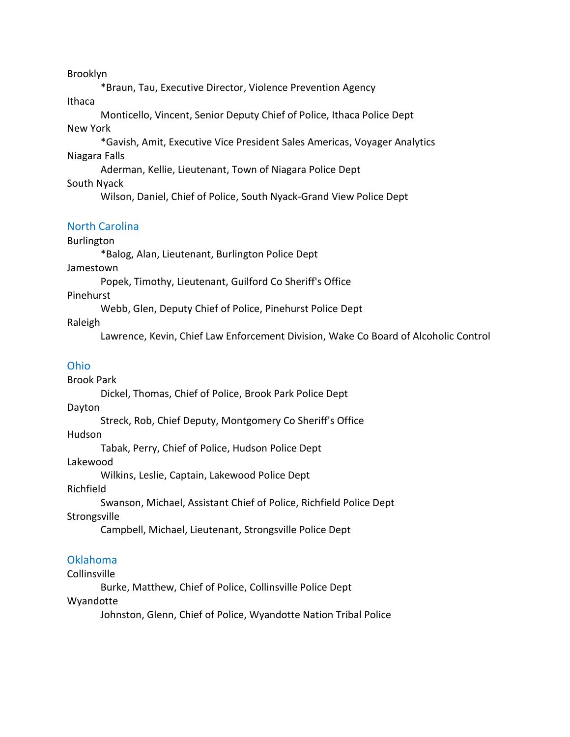#### Brooklyn

\*Braun, Tau, Executive Director, Violence Prevention Agency Ithaca Monticello, Vincent, Senior Deputy Chief of Police, Ithaca Police Dept New York \*Gavish, Amit, Executive Vice President Sales Americas, Voyager Analytics Niagara Falls Aderman, Kellie, Lieutenant, Town of Niagara Police Dept South Nyack Wilson, Daniel, Chief of Police, South Nyack-Grand View Police Dept

#### North Carolina

Burlington \*Balog, Alan, Lieutenant, Burlington Police Dept Jamestown Popek, Timothy, Lieutenant, Guilford Co Sheriff's Office Pinehurst Webb, Glen, Deputy Chief of Police, Pinehurst Police Dept Raleigh Lawrence, Kevin, Chief Law Enforcement Division, Wake Co Board of Alcoholic Control

#### Ohio

Brook Park

Dickel, Thomas, Chief of Police, Brook Park Police Dept

Dayton

Streck, Rob, Chief Deputy, Montgomery Co Sheriff's Office

Hudson

Tabak, Perry, Chief of Police, Hudson Police Dept

Lakewood

Wilkins, Leslie, Captain, Lakewood Police Dept

Richfield

Swanson, Michael, Assistant Chief of Police, Richfield Police Dept

#### Strongsville

Campbell, Michael, Lieutenant, Strongsville Police Dept

### Oklahoma

Collinsville

Burke, Matthew, Chief of Police, Collinsville Police Dept

#### Wyandotte

Johnston, Glenn, Chief of Police, Wyandotte Nation Tribal Police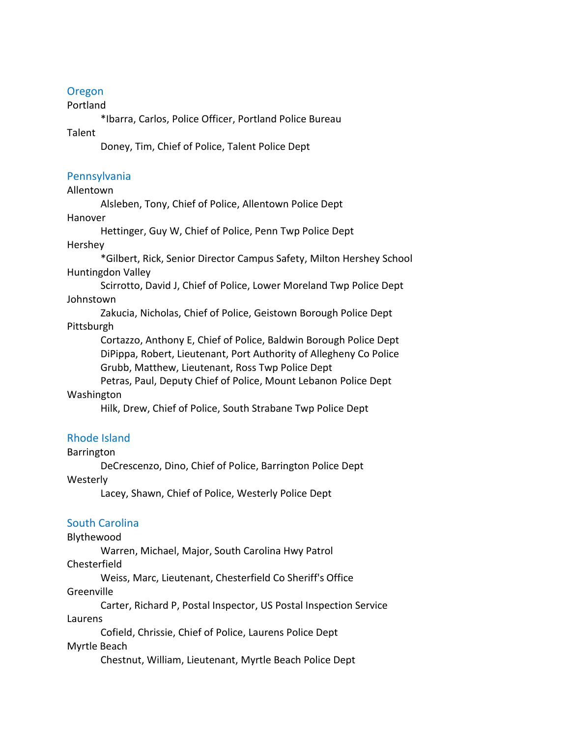#### **Oregon**

#### Portland

\*Ibarra, Carlos, Police Officer, Portland Police Bureau

#### Talent

Doney, Tim, Chief of Police, Talent Police Dept

#### Pennsylvania

Allentown

Alsleben, Tony, Chief of Police, Allentown Police Dept

#### Hanover

Hettinger, Guy W, Chief of Police, Penn Twp Police Dept

#### Hershey

\*Gilbert, Rick, Senior Director Campus Safety, Milton Hershey School Huntingdon Valley

Scirrotto, David J, Chief of Police, Lower Moreland Twp Police Dept Johnstown

Zakucia, Nicholas, Chief of Police, Geistown Borough Police Dept Pittsburgh

> Cortazzo, Anthony E, Chief of Police, Baldwin Borough Police Dept DiPippa, Robert, Lieutenant, Port Authority of Allegheny Co Police Grubb, Matthew, Lieutenant, Ross Twp Police Dept Petras, Paul, Deputy Chief of Police, Mount Lebanon Police Dept

### Washington

Hilk, Drew, Chief of Police, South Strabane Twp Police Dept

#### Rhode Island

Barrington

DeCrescenzo, Dino, Chief of Police, Barrington Police Dept

### Westerly

Lacey, Shawn, Chief of Police, Westerly Police Dept

#### South Carolina

#### Blythewood

Warren, Michael, Major, South Carolina Hwy Patrol

Chesterfield

Weiss, Marc, Lieutenant, Chesterfield Co Sheriff's Office

#### Greenville

Carter, Richard P, Postal Inspector, US Postal Inspection Service

Laurens

Cofield, Chrissie, Chief of Police, Laurens Police Dept

#### Myrtle Beach

Chestnut, William, Lieutenant, Myrtle Beach Police Dept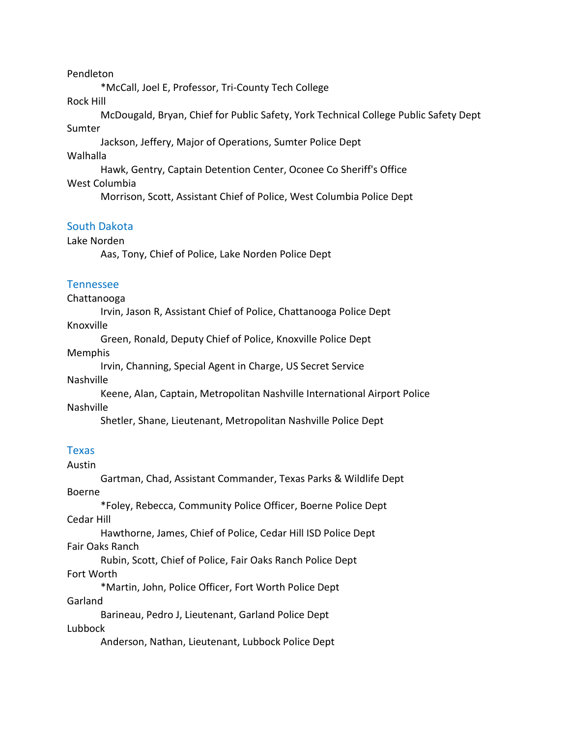#### Pendleton

\*McCall, Joel E, Professor, Tri-County Tech College

#### Rock Hill

McDougald, Bryan, Chief for Public Safety, York Technical College Public Safety Dept Sumter

Jackson, Jeffery, Major of Operations, Sumter Police Dept

#### Walhalla

Hawk, Gentry, Captain Detention Center, Oconee Co Sheriff's Office

#### West Columbia

Morrison, Scott, Assistant Chief of Police, West Columbia Police Dept

#### South Dakota

#### Lake Norden

Aas, Tony, Chief of Police, Lake Norden Police Dept

#### Tennessee

#### Chattanooga

Irvin, Jason R, Assistant Chief of Police, Chattanooga Police Dept

#### Knoxville

Green, Ronald, Deputy Chief of Police, Knoxville Police Dept

### Memphis

Irvin, Channing, Special Agent in Charge, US Secret Service

#### Nashville

Keene, Alan, Captain, Metropolitan Nashville International Airport Police Nashville

Shetler, Shane, Lieutenant, Metropolitan Nashville Police Dept

#### **Texas**

Austin Gartman, Chad, Assistant Commander, Texas Parks & Wildlife Dept Boerne \*Foley, Rebecca, Community Police Officer, Boerne Police Dept Cedar Hill Hawthorne, James, Chief of Police, Cedar Hill ISD Police Dept Fair Oaks Ranch Rubin, Scott, Chief of Police, Fair Oaks Ranch Police Dept Fort Worth \*Martin, John, Police Officer, Fort Worth Police Dept Garland Barineau, Pedro J, Lieutenant, Garland Police Dept Lubbock

Anderson, Nathan, Lieutenant, Lubbock Police Dept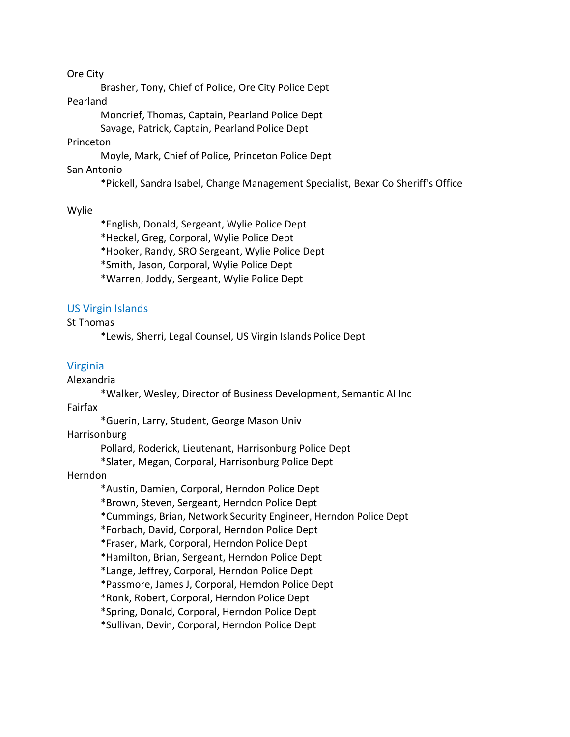Ore City

Brasher, Tony, Chief of Police, Ore City Police Dept

#### Pearland

Moncrief, Thomas, Captain, Pearland Police Dept

Savage, Patrick, Captain, Pearland Police Dept

### Princeton

Moyle, Mark, Chief of Police, Princeton Police Dept

#### San Antonio

\*Pickell, Sandra Isabel, Change Management Specialist, Bexar Co Sheriff's Office

#### Wylie

\*English, Donald, Sergeant, Wylie Police Dept \*Heckel, Greg, Corporal, Wylie Police Dept \*Hooker, Randy, SRO Sergeant, Wylie Police Dept \*Smith, Jason, Corporal, Wylie Police Dept \*Warren, Joddy, Sergeant, Wylie Police Dept

#### US Virgin Islands

St Thomas

\*Lewis, Sherri, Legal Counsel, US Virgin Islands Police Dept

#### Virginia

Alexandria

\*Walker, Wesley, Director of Business Development, Semantic AI Inc

Fairfax

\*Guerin, Larry, Student, George Mason Univ

#### Harrisonburg

Pollard, Roderick, Lieutenant, Harrisonburg Police Dept

\*Slater, Megan, Corporal, Harrisonburg Police Dept

#### Herndon

\*Austin, Damien, Corporal, Herndon Police Dept

\*Brown, Steven, Sergeant, Herndon Police Dept

\*Cummings, Brian, Network Security Engineer, Herndon Police Dept

\*Forbach, David, Corporal, Herndon Police Dept

\*Fraser, Mark, Corporal, Herndon Police Dept

\*Hamilton, Brian, Sergeant, Herndon Police Dept

\*Lange, Jeffrey, Corporal, Herndon Police Dept

\*Passmore, James J, Corporal, Herndon Police Dept

\*Ronk, Robert, Corporal, Herndon Police Dept

\*Spring, Donald, Corporal, Herndon Police Dept

\*Sullivan, Devin, Corporal, Herndon Police Dept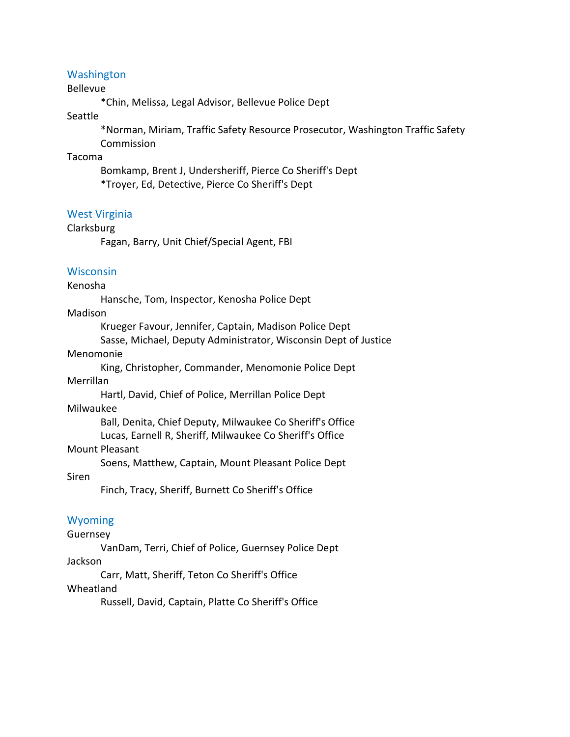#### Washington

Bellevue

\*Chin, Melissa, Legal Advisor, Bellevue Police Dept

#### Seattle

\*Norman, Miriam, Traffic Safety Resource Prosecutor, Washington Traffic Safety Commission

#### Tacoma

Bomkamp, Brent J, Undersheriff, Pierce Co Sheriff's Dept \*Troyer, Ed, Detective, Pierce Co Sheriff's Dept

#### West Virginia

#### Clarksburg

Fagan, Barry, Unit Chief/Special Agent, FBI

#### **Wisconsin**

#### Kenosha

Hansche, Tom, Inspector, Kenosha Police Dept

#### Madison

Krueger Favour, Jennifer, Captain, Madison Police Dept

Sasse, Michael, Deputy Administrator, Wisconsin Dept of Justice

#### Menomonie

King, Christopher, Commander, Menomonie Police Dept

Merrillan

Hartl, David, Chief of Police, Merrillan Police Dept

### Milwaukee

Ball, Denita, Chief Deputy, Milwaukee Co Sheriff's Office

Lucas, Earnell R, Sheriff, Milwaukee Co Sheriff's Office

#### Mount Pleasant

Soens, Matthew, Captain, Mount Pleasant Police Dept

#### Siren

Finch, Tracy, Sheriff, Burnett Co Sheriff's Office

#### Wyoming

#### Guernsey

VanDam, Terri, Chief of Police, Guernsey Police Dept

### Jackson

Carr, Matt, Sheriff, Teton Co Sheriff's Office

#### Wheatland

Russell, David, Captain, Platte Co Sheriff's Office